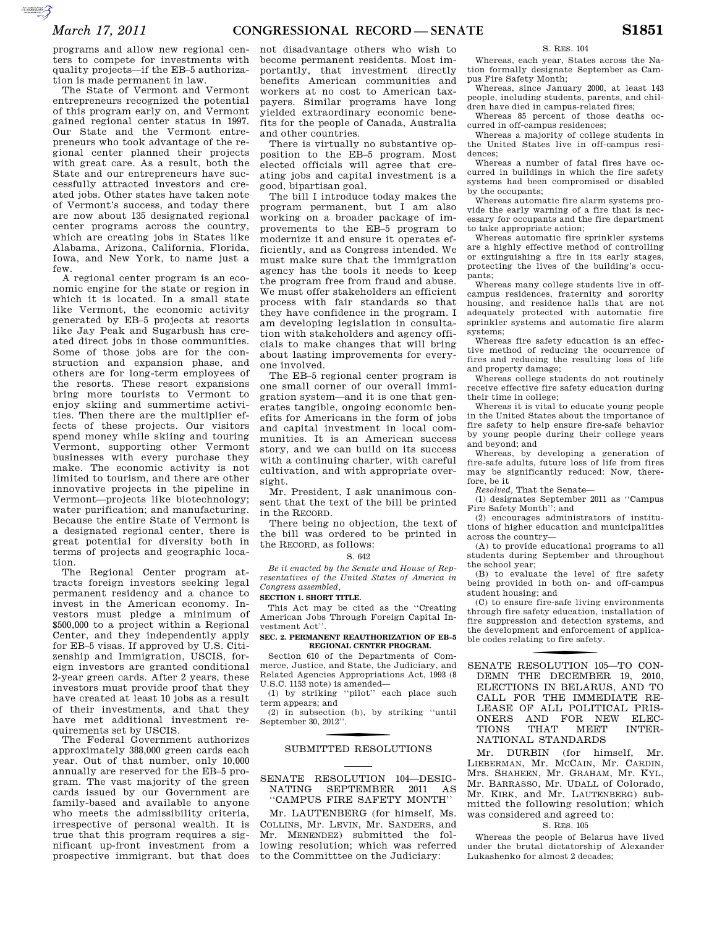programs and allow new regional centers to compete for investments with quality projects—if the EB–5 authorization is made permanent in law.

The State of Vermont and Vermont entrepreneurs recognized the potential of this program early on, and Vermont gained regional center status in 1997. Our State and the Vermont entrepreneurs who took advantage of the regional center planned their projects with great care. As a result, both the State and our entrepreneurs have successfully attracted investors and created jobs. Other states have taken note of Vermont's success, and today there are now about 135 designated regional center programs across the country, which are creating jobs in States like Alabama, Arizona, California, Florida, Iowa, and New York, to name just a few.

A regional center program is an economic engine for the state or region in which it is located. In a small state like Vermont, the economic activity generated by EB–5 projects at resorts like Jay Peak and Sugarbush has created direct jobs in those communities. Some of those jobs are for the construction and expansion phase, and others are for long-term employees of the resorts. These resort expansions bring more tourists to Vermont to enjoy skiing and summertime activities. Then there are the multiplier effects of these projects. Our visitors spend money while skiing and touring Vermont, supporting other Vermont businesses with every purchase they make. The economic activity is not limited to tourism, and there are other innovative projects in the pipeline in Vermont—projects like biotechnology; water purification; and manufacturing. Because the entire State of Vermont is a designated regional center, there is great potential for diversity both in terms of projects and geographic location.

The Regional Center program attracts foreign investors seeking legal permanent residency and a chance to invest in the American economy. Investors must pledge a minimum of \$500,000 to a project within a Regional Center, and they independently apply for EB–5 visas. If approved by U.S. Citizenship and Immigration, USCIS, foreign investors are granted conditional 2-year green cards. After 2 years, these investors must provide proof that they have created at least 10 jobs as a result of their investments, and that they have met additional investment requirements set by USCIS.

The Federal Government authorizes approximately 388,000 green cards each year. Out of that number, only 10,000 annually are reserved for the EB–5 program. The vast majority of the green cards issued by our Government are family-based and available to anyone who meets the admissibility criteria, irrespective of personal wealth. It is true that this program requires a significant up-front investment from a prospective immigrant, but that does

not disadvantage others who wish to become permanent residents. Most importantly, that investment directly benefits American communities and workers at no cost to American taxpayers. Similar programs have long yielded extraordinary economic benefits for the people of Canada, Australia and other countries.

There is virtually no substantive opposition to the EB–5 program. Most elected officials will agree that creating jobs and capital investment is a good, bipartisan goal.

The bill I introduce today makes the program permanent, but I am also working on a broader package of improvements to the EB–5 program to modernize it and ensure it operates efficiently, and as Congress intended. We must make sure that the immigration agency has the tools it needs to keep the program free from fraud and abuse. We must offer stakeholders an efficient process with fair standards so that they have confidence in the program. I am developing legislation in consultation with stakeholders and agency officials to make changes that will bring about lasting improvements for everyone involved.

The EB–5 regional center program is one small corner of our overall immigration system—and it is one that generates tangible, ongoing economic benefits for Americans in the form of jobs and capital investment in local communities. It is an American success story, and we can build on its success with a continuing charter, with careful cultivation, and with appropriate oversight.

Mr. President, I ask unanimous consent that the text of the bill be printed in the RECORD.

There being no objection, the text of the bill was ordered to be printed in the RECORD, as follows:

# S. 642

*Be it enacted by the Senate and House of Representatives of the United States of America in Congress assembled,* 

#### **SECTION 1. SHORT TITLE.**

This Act may be cited as the ''Creating American Jobs Through Foreign Capital Investment Act''.

#### **SEC. 2. PERMANENT REAUTHORIZATION OF EB–5 REGIONAL CENTER PROGRAM.**

Section 610 of the Departments of Commerce, Justice, and State, the Judiciary, and Related Agencies Appropriations Act, 1993 (8 U.S.C. 1153 note) is amended—

(1) by striking ''pilot'' each place such term appears; and

(2) in subsection (b), by striking ''until September 30, 2012''.

# SUBMITTED RESOLUTIONS

# SENATE RESOLUTION 104—DESIG-NATING SEPTEMBER 2011 AS ''CAMPUS FIRE SAFETY MONTH''

Mr. LAUTENBERG (for himself, Ms. COLLINS, Mr. LEVIN, Mr. SANDERS, and Mr. MENENDEZ) submitted the following resolution; which was referred to the Committtee on the Judiciary:

S. RES. 104

Whereas, each year, States across the Nation formally designate September as Campus Fire Safety Month;

Whereas, since January 2000, at least 143 people, including students, parents, and children have died in campus-related fires;

Whereas 85 percent of those deaths occurred in off-campus residences;

Whereas a majority of college students in the United States live in off-campus residences;

Whereas a number of fatal fires have occurred in buildings in which the fire safety systems had been compromised or disabled by the occupants;

Whereas automatic fire alarm systems provide the early warning of a fire that is necessary for occupants and the fire department to take appropriate action;

Whereas automatic fire sprinkler systems are a highly effective method of controlling or extinguishing a fire in its early stages, protecting the lives of the building's occupants;

Whereas many college students live in offcampus residences, fraternity and sorority housing, and residence halls that are not adequately protected with automatic fire sprinkler systems and automatic fire alarm systems;

Whereas fire safety education is an effective method of reducing the occurrence of fires and reducing the resulting loss of life and property damage;

Whereas college students do not routinely receive effective fire safety education during their time in college;

Whereas it is vital to educate young people in the United States about the importance of fire safety to help ensure fire-safe behavior by young people during their college years and beyond; and

Whereas, by developing a generation of fire-safe adults, future loss of life from fires may be significantly reduced: Now, therefore, be it

*Resolved,* That the Senate—

(1) designates September 2011 as ''Campus Fire Safety Month''; and

(2) encourages administrators of institutions of higher education and municipalities across the country—

(A) to provide educational programs to all students during September and throughout the school year;

(B) to evaluate the level of fire safety being provided in both on- and off-campus student housing; and

(C) to ensure fire-safe living environments through fire safety education, installation of fire suppression and detection systems, and the development and enforcement of applicable codes relating to fire safety.

SENATE RESOLUTION 105-TO CON-DEMN THE DECEMBER 19, 2010, ELECTIONS IN BELARUS, AND TO CALL FOR THE IMMEDIATE RE-LEASE OF ALL POLITICAL PRIS-ONERS AND FOR NEW ELECTIONS THAT MEET INTER-TIONS THAT NATIONAL STANDARDS

Mr. DURBIN (for himself, Mr. LIEBERMAN, Mr. MCCAIN, Mr. CARDIN, Mrs. SHAHEEN, Mr. GRAHAM, Mr. KYL, Mr. BARRASSO, Mr. UDALL of Colorado, Mr. KIRK, and Mr. LAUTENBERG) submitted the following resolution; which was considered and agreed to:

#### S. RES. 105

Whereas the people of Belarus have lived under the brutal dictatorship of Alexander Lukashenko for almost 2 decades;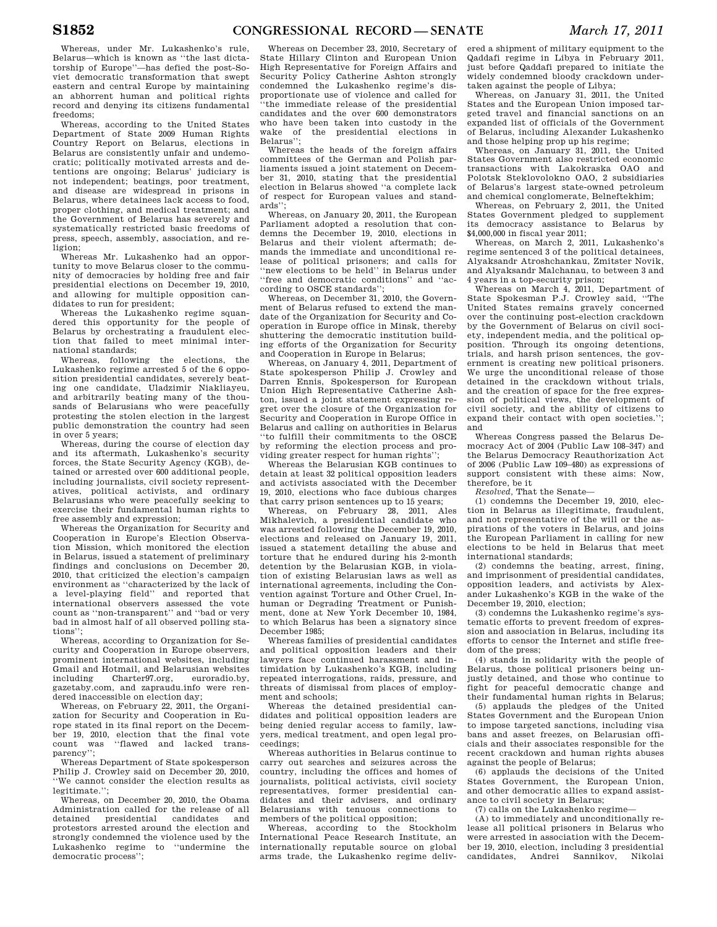Whereas, under Mr. Lukashenko's rule, Belarus—which is known as ''the last dictatorship of Europe''—has defied the post-Soviet democratic transformation that swept eastern and central Europe by maintaining an abhorrent human and political rights record and denying its citizens fundamental freedoms;

Whereas, according to the United States Department of State 2009 Human Rights Country Report on Belarus, elections in Belarus are consistently unfair and undemocratic; politically motivated arrests and detentions are ongoing; Belarus' judiciary is not independent; beatings, poor treatment, and disease are widespread in prisons in Belarus, where detainees lack access to food, proper clothing, and medical treatment; and the Government of Belarus has severely and systematically restricted basic freedoms of press, speech, assembly, association, and religion;

Whereas Mr. Lukashenko had an opportunity to move Belarus closer to the community of democracies by holding free and fair presidential elections on December 19, 2010, and allowing for multiple opposition candidates to run for president;

Whereas the Lukashenko regime squandered this opportunity for the people of Belarus by orchestrating a fraudulent election that failed to meet minimal international standards;

Whereas, following the elections, the Lukashenko regime arrested 5 of the 6 opposition presidential candidates, severely beating one candidate, Uladzimir Niakliayeu, and arbitrarily beating many of the thousands of Belarusians who were peacefully protesting the stolen election in the largest public demonstration the country had seen in over 5 years;

Whereas, during the course of election day and its aftermath, Lukashenko's security forces, the State Security Agency (KGB), detained or arrested over 600 additional people, including journalists, civil society representatives, political activists, and ordinary Belarusians who were peacefully seeking to exercise their fundamental human rights to free assembly and expression;

Whereas the Organization for Security and Cooperation in Europe's Election Observation Mission, which monitored the election in Belarus, issued a statement of preliminary findings and conclusions on December 20, 2010, that criticized the election's campaign environment as ''characterized by the lack of a level-playing field'' and reported that international observers assessed the vote count as ''non-transparent'' and ''bad or very bad in almost half of all observed polling stations'';

Whereas, according to Organization for Security and Cooperation in Europe observers, prominent international websites, including Gmail and Hotmail, and Belarusian websites including Charter97.org, euroradio.by, gazetaby.com, and zapraudu.info were rendered inaccessible on election day;

Whereas, on February 22, 2011, the Organization for Security and Cooperation in Europe stated in its final report on the December 19, 2010, election that the final vote count was ''flawed and lacked transparency'';

Whereas Department of State spokesperson Philip J. Crowley said on December 20, 2010, ''We cannot consider the election results as legitimate.'';

Whereas, on December 20, 2010, the Obama Administration called for the release of all detained presidential candidates and protestors arrested around the election and strongly condemned the violence used by the Lukashenko regime to ''undermine the democratic process'';

Whereas on December 23, 2010, Secretary of State Hillary Clinton and European Union High Representative for Foreign Affairs and Security Policy Catherine Ashton strongly condemned the Lukashenko regime's disproportionate use of violence and called for ''the immediate release of the presidential candidates and the over 600 demonstrators who have been taken into custody in the wake of the presidential elections in Belarus'';

Whereas the heads of the foreign affairs committees of the German and Polish parliaments issued a joint statement on December 31, 2010, stating that the presidential election in Belarus showed ''a complete lack of respect for European values and standards'';

Whereas, on January 20, 2011, the European Parliament adopted a resolution that condemns the December 19, 2010, elections in Belarus and their violent aftermath; demands the immediate and unconditional release of political prisoners; and calls for "new elections to be held" in Belarus under ''free and democratic conditions'' and ''according to OSCE standards'';

Whereas, on December 31, 2010, the Government of Belarus refused to extend the mandate of the Organization for Security and Cooperation in Europe office in Minsk, thereby shuttering the democratic institution building efforts of the Organization for Security and Cooperation in Europe in Belarus;

Whereas, on January 4, 2011, Department of State spokesperson Philip J. Crowley and Darren Ennis, Spokesperson for European Union High Representative Catherine Ashton, issued a joint statement expressing regret over the closure of the Organization for Security and Cooperation in Europe Office in Belarus and calling on authorities in Belarus ''to fulfill their commitments to the OSCE by reforming the election process and providing greater respect for human rights'

Whereas the Belarusian KGB continues to detain at least 32 political opposition leaders and activists associated with the December 19, 2010, elections who face dubious charges that carry prison sentences up to 15 years;

Whereas, on February 28, 2011, Ales Mikhalevich, a presidential candidate who was arrested following the December 19, 2010, elections and released on January 19, 2011. issued a statement detailing the abuse and torture that he endured during his 2-month detention by the Belarusian KGB, in violation of existing Belarusian laws as well as international agreements, including the Convention against Torture and Other Cruel, Inhuman or Degrading Treatment or Punishment, done at New York December 10, 1984, to which Belarus has been a signatory since December 1985;

Whereas families of presidential candidates and political opposition leaders and their lawyers face continued harassment and intimidation by Lukashenko's KGB, including repeated interrogations, raids, pressure, and threats of dismissal from places of employment and schools;

Whereas the detained presidential candidates and political opposition leaders are being denied regular access to family, lawyers, medical treatment, and open legal proceedings;

Whereas authorities in Belarus continue to carry out searches and seizures across the country, including the offices and homes of journalists, political activists, civil society representatives, former presidential candidates and their advisers, and ordinary Belarusians with tenuous connections to members of the political opposition;

Whereas, according to the Stockholm International Peace Research Institute, an internationally reputable source on global arms trade, the Lukashenko regime deliv-

ered a shipment of military equipment to the Qaddafi regime in Libya in February 2011, just before Qaddafi prepared to initiate the widely condemned bloody crackdown undertaken against the people of Libya;

Whereas, on January 31, 2011, the United States and the European Union imposed targeted travel and financial sanctions on an expanded list of officials of the Government of Belarus, including Alexander Lukashenko and those helping prop up his regime;

Whereas, on January 31, 2011, the United States Government also restricted economic transactions with Lakokraska OAO and Polotsk Steklovolokno OAO, 2 subsidiaries of Belarus's largest state-owned petroleum and chemical conglomerate, Belneftekhim;

Whereas, on February 2, 2011, the United States Government pledged to supplement its democracy assistance to Belarus by \$4,000,000 in fiscal year 2011;

Whereas, on March 2, 2011, Lukashenko's regime sentenced 3 of the political detainees, Alyaksandr Atroshchankau, Zmitster Novik, and Alyaksandr Malchanau, to between 3 and 4 years in a top-security prison;

Whereas on March 4, 2011, Department of State Spokesman P.J. Crowley said, ''The United States remains gravely concerned over the continuing post-election crackdown by the Government of Belarus on civil society, independent media, and the political opposition. Through its ongoing detentions, trials, and harsh prison sentences, the government is creating new political prisoners. We urge the unconditional release of those detained in the crackdown without trials, and the creation of space for the free expression of political views, the development of civil society, and the ability of citizens to expand their contact with open societies.''; and

Whereas Congress passed the Belarus Democracy Act of 2004 (Public Law 108–347) and the Belarus Democracy Reauthorization Act of 2006 (Public Law 109–480) as expressions of support consistent with these aims: Now, therefore, be it

*Resolved,* That the Senate—

(1) condemns the December 19, 2010, election in Belarus as illegitimate, fraudulent, and not representative of the will or the aspirations of the voters in Belarus, and joins the European Parliament in calling for new elections to be held in Belarus that meet international standards;

(2) condemns the beating, arrest, fining, and imprisonment of presidential candidates, opposition leaders, and activists by Alexander Lukashenko's KGB in the wake of the December 19, 2010, election;

(3) condemns the Lukashenko regime's systematic efforts to prevent freedom of expression and association in Belarus, including its efforts to censor the Internet and stifle freedom of the press;

(4) stands in solidarity with the people of Belarus, those political prisoners being unjustly detained, and those who continue to fight for peaceful democratic change and their fundamental human rights in Belarus;

(5) applauds the pledges of the United States Government and the European Union to impose targeted sanctions, including visa bans and asset freezes, on Belarusian officials and their associates responsible for the recent crackdown and human rights abuses against the people of Belarus;

(6) applauds the decisions of the United States Government, the European Union, and other democratic allies to expand assistance to civil society in Belarus;

(7) calls on the Lukashenko regime—

(A) to immediately and unconditionally release all political prisoners in Belarus who were arrested in association with the December 19, 2010, election, including 3 presidential candidates, Andrei Sannikov, Nikolai